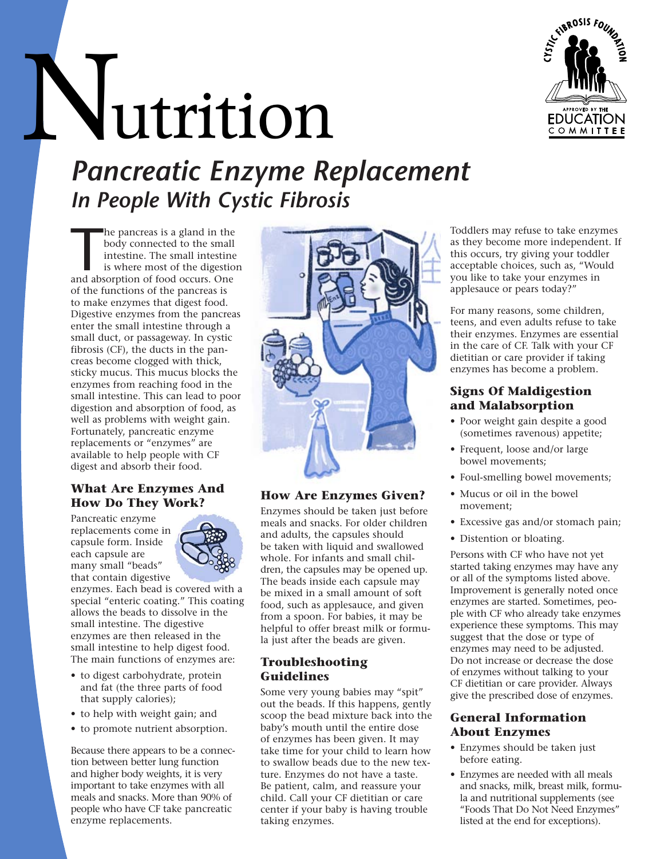

# Nutrition

*Pancreatic Enzyme Replacement In People With Cystic Fibrosis* 

he pancreas is a gland in the body connected to the small intestine is where most of the digestio and absorption of food occurs. One he pancreas is a gland in the body connected to the small intestine. The small intestine is where most of the digestion of the functions of the pancreas is to make enzymes that digest food. Digestive enzymes from the pancreas enter the small intestine through a small duct, or passageway. In cystic fibrosis (CF), the ducts in the pancreas become clogged with thick, sticky mucus. This mucus blocks the enzymes from reaching food in the small intestine. This can lead to poor digestion and absorption of food, as well as problems with weight gain. Fortunately, pancreatic enzyme replacements or "enzymes" are available to help people with CF digest and absorb their food.

# **What Are Enzymes And How Do They Work?**

Pancreatic enzyme replacements come in capsule form. Inside each capsule are many small "beads" that contain digestive



enzymes. Each bead is covered with a special "enteric coating." This coating allows the beads to dissolve in the small intestine. The digestive enzymes are then released in the small intestine to help digest food. The main functions of enzymes are:

- to digest carbohydrate, protein and fat (the three parts of food that supply calories);
- to help with weight gain; and
- to promote nutrient absorption.

Because there appears to be a connection between better lung function and higher body weights, it is very important to take enzymes with all meals and snacks. More than 90% of people who have CF take pancreatic enzyme replacements.



# **How Are Enzymes Given?**

Enzymes should be taken just before meals and snacks. For older children and adults, the capsules should be taken with liquid and swallowed whole. For infants and small children, the capsules may be opened up. The beads inside each capsule may be mixed in a small amount of soft food, such as applesauce, and given from a spoon. For babies, it may be helpful to offer breast milk or formula just after the beads are given.

### **Troubleshooting Guidelines**

Some very young babies may "spit" out the beads. If this happens, gently scoop the bead mixture back into the baby's mouth until the entire dose of enzymes has been given. It may take time for your child to learn how to swallow beads due to the new texture. Enzymes do not have a taste. Be patient, calm, and reassure your child. Call your CF dietitian or care center if your baby is having trouble taking enzymes.

Toddlers may refuse to take enzymes as they become more independent. If this occurs, try giving your toddler acceptable choices, such as, "Would you like to take your enzymes in applesauce or pears today?"

For many reasons, some children, teens, and even adults refuse to take their enzymes. Enzymes are essential in the care of CF. Talk with your CF dietitian or care provider if taking enzymes has become a problem.

# **Signs Of Maldigestion and Malabsorption**

- Poor weight gain despite a good (sometimes ravenous) appetite;
- Frequent, loose and/or large bowel movements;
- Foul-smelling bowel movements;
- Mucus or oil in the bowel movement;
- Excessive gas and/or stomach pain;
- Distention or bloating.

Persons with CF who have not yet started taking enzymes may have any or all of the symptoms listed above. Improvement is generally noted once enzymes are started. Sometimes, people with CF who already take enzymes experience these symptoms. This may suggest that the dose or type of enzymes may need to be adjusted. Do not increase or decrease the dose of enzymes without talking to your CF dietitian or care provider. Always give the prescribed dose of enzymes.

#### **General Information About Enzymes**

- Enzymes should be taken just before eating.
- Enzymes are needed with all meals and snacks, milk, breast milk, formula and nutritional supplements (see "Foods That Do Not Need Enzymes" listed at the end for exceptions).